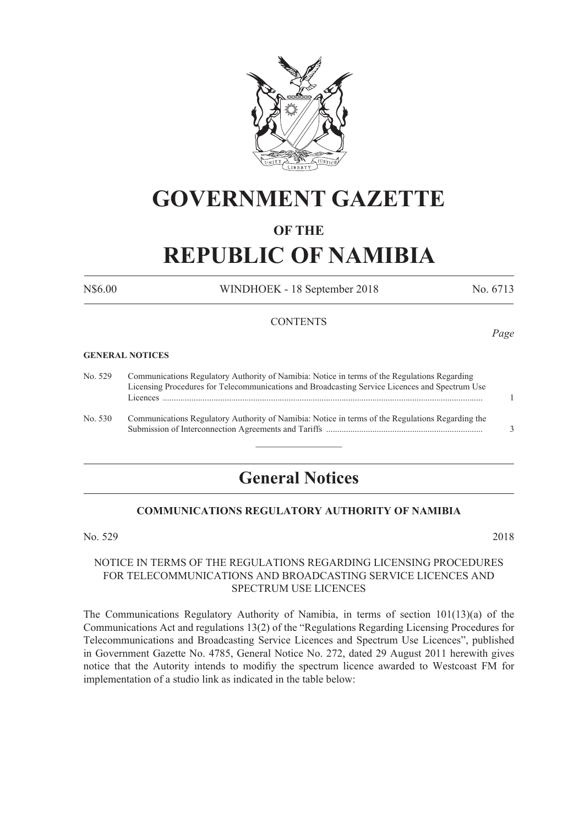

# **GOVERNMENT GAZETTE**

### **OF THE**

# **REPUBLIC OF NAMIBIA**

N\$6.00 WINDHOEK - 18 September 2018 No. 6713

#### **CONTENTS**

#### **GENERAL NOTICES**

| No. 529 | Communications Regulatory Authority of Namibia: Notice in terms of the Regulations Regarding     |   |  |  |  |
|---------|--------------------------------------------------------------------------------------------------|---|--|--|--|
|         | Licensing Procedures for Telecommunications and Broadcasting Service Licences and Spectrum Use   |   |  |  |  |
|         |                                                                                                  |   |  |  |  |
| No. 530 | Communications Regulatory Authority of Namibia: Notice in terms of the Regulations Regarding the |   |  |  |  |
|         |                                                                                                  | 3 |  |  |  |

## **General Notices**

 $\frac{1}{2}$ 

### **COMMUNICATIONS REGULATORY AUTHORITY OF NAMIBIA**

No. 529 2018

#### NOTICE IN TERMS OF THE REGULATIONS REGARDING LICENSING PROCEDURES FOR TELECOMMUNICATIONS AND BROADCASTING SERVICE LICENCES AND SPECTRUM USE LICENCES

The Communications Regulatory Authority of Namibia, in terms of section 101(13)(a) of the Communications Act and regulations 13(2) of the "Regulations Regarding Licensing Procedures for Telecommunications and Broadcasting Service Licences and Spectrum Use Licences", published in Government Gazette No. 4785, General Notice No. 272, dated 29 August 2011 herewith gives notice that the Autority intends to modifiy the spectrum licence awarded to Westcoast FM for implementation of a studio link as indicated in the table below:

*Page*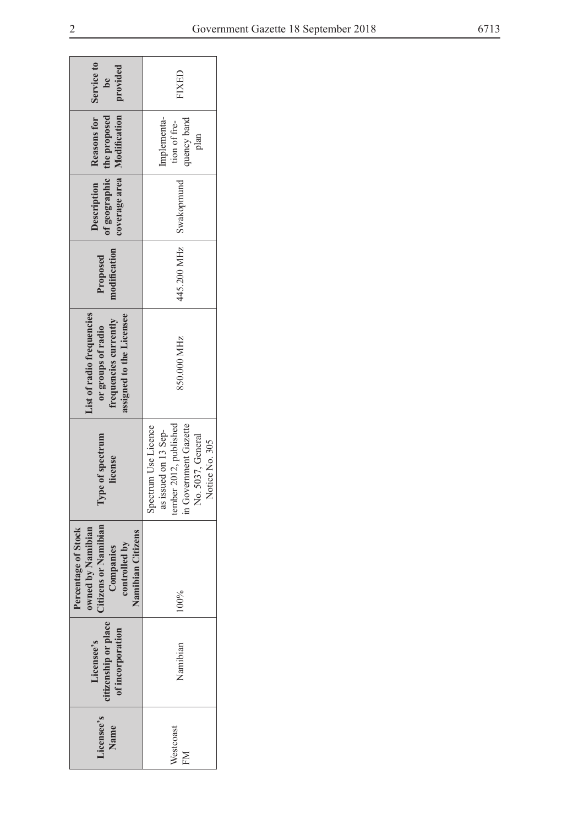$\overline{\phantom{0}}$ 

| Service to<br>provided<br>be                                                                                        | <b>CISXI:</b>                                                                                                                             |  |  |  |  |
|---------------------------------------------------------------------------------------------------------------------|-------------------------------------------------------------------------------------------------------------------------------------------|--|--|--|--|
| coverage area   Modification<br>Reasons for<br>of geographic   the proposed                                         | Implementa-<br>uency band<br>tion of fre-<br>plan                                                                                         |  |  |  |  |
| Description                                                                                                         | Swakopmund                                                                                                                                |  |  |  |  |
| modification<br>Proposed                                                                                            | 445.200 MHz                                                                                                                               |  |  |  |  |
| assigned to the Licensee<br>List of radio frequencies<br>frequencies currently<br>or groups of radio                | 850.000 MHz                                                                                                                               |  |  |  |  |
| pe of spectrum<br>license<br>$\mathbf{N}$                                                                           | tember 2012, published<br>in Government Gazette<br>Spectrum Use Licence<br>as issued on 13 Sep-<br>5037, General<br>Notice No. 305<br>Σò, |  |  |  |  |
| litizens or Namibian<br>Percentage of Stock<br>owned by Namibian<br>Namibian Citizens<br>controlled by<br>Companies | 100%                                                                                                                                      |  |  |  |  |
| citizenship or place<br>of incorporation<br>Licensee's                                                              | Namibian                                                                                                                                  |  |  |  |  |
| Licensee's<br>Name                                                                                                  | Westcoast<br>EM                                                                                                                           |  |  |  |  |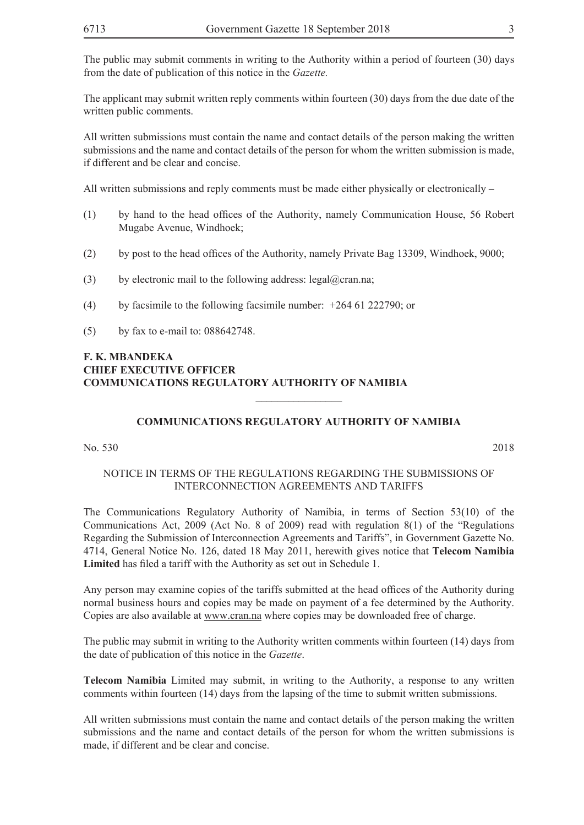The applicant may submit written reply comments within fourteen (30) days from the due date of the written public comments.

All written submissions must contain the name and contact details of the person making the written submissions and the name and contact details of the person for whom the written submission is made, if different and be clear and concise.

All written submissions and reply comments must be made either physically or electronically  $-$ 

- (1) by hand to the head offices of the Authority, namely Communication House, 56 Robert Mugabe Avenue, Windhoek;
- (2) by post to the head offices of the Authority, namely Private Bag 13309, Windhoek, 9000;
- (3) by electronic mail to the following address: legal@cran.na;
- (4) by facsimile to the following facsimile number: +264 61 222790; or
- (5) by fax to e-mail to: 088642748.

#### **F. K. MBANDEKA CHIEF EXECUTIVE OFFICER COMMUNICATIONS REGULATORY AUTHORITY OF NAMIBIA**

### **COMMUNICATIONS REGULATORY AUTHORITY OF NAMIBIA**

 $\frac{1}{2}$ 

No. 530 2018

### NOTICE IN TERMS OF THE REGULATIONS REGARDING THE SUBMISSIONS OF INTERCONNECTION AGREEMENTS AND TARIFFS

The Communications Regulatory Authority of Namibia, in terms of Section 53(10) of the Communications Act, 2009 (Act No. 8 of 2009) read with regulation 8(1) of the "Regulations Regarding the Submission of Interconnection Agreements and Tariffs", in Government Gazette No. 4714, General Notice No. 126, dated 18 May 2011, herewith gives notice that **Telecom Namibia Limited** has filed a tariff with the Authority as set out in Schedule 1.

Any person may examine copies of the tariffs submitted at the head offices of the Authority during normal business hours and copies may be made on payment of a fee determined by the Authority. Copies are also available at www.cran.na where copies may be downloaded free of charge.

The public may submit in writing to the Authority written comments within fourteen (14) days from the date of publication of this notice in the *Gazette*.

**Telecom Namibia** Limited may submit, in writing to the Authority, a response to any written comments within fourteen (14) days from the lapsing of the time to submit written submissions.

All written submissions must contain the name and contact details of the person making the written submissions and the name and contact details of the person for whom the written submissions is made, if different and be clear and concise.